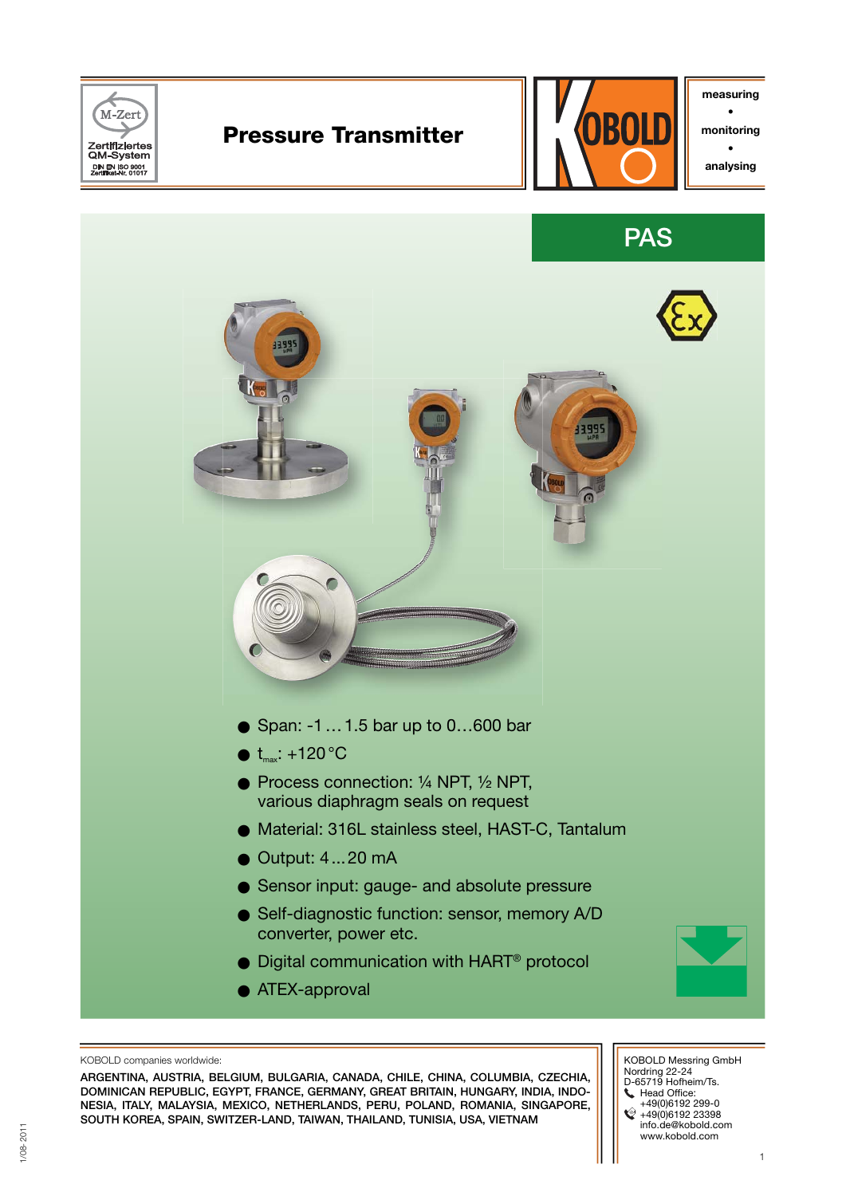

KOBOLD companies worldwide:

**ARGENTINA, AUSTRIA, BELGIUM, BULGARIA, CANADA, CHILE, CHINA, COLUMBIA, CZECHIA, DOMINICAN REPUBLIC, EGYPT, FRANCE, GERMANY, GREAT BRITAIN, HUNGARY, INDIA, INDO-NESIA, ITALY, MALAYSIA, MEXICO, NETHERLANDS, PERU, POLAND, ROMANIA, SINGAPORE, SOUTH KOREA, SPAIN, SWITZER-LAND, TAIWAN, THAILAND, TUNISIA, USA, VIETNAM**

 KOBOLD Messring GmbH Nordring 22-24 D-65719 Hofheim/Ts. Head Office: +49(0)6192 299-0 +49(0)6192 23398 info.de@kobold.com www.kobold.com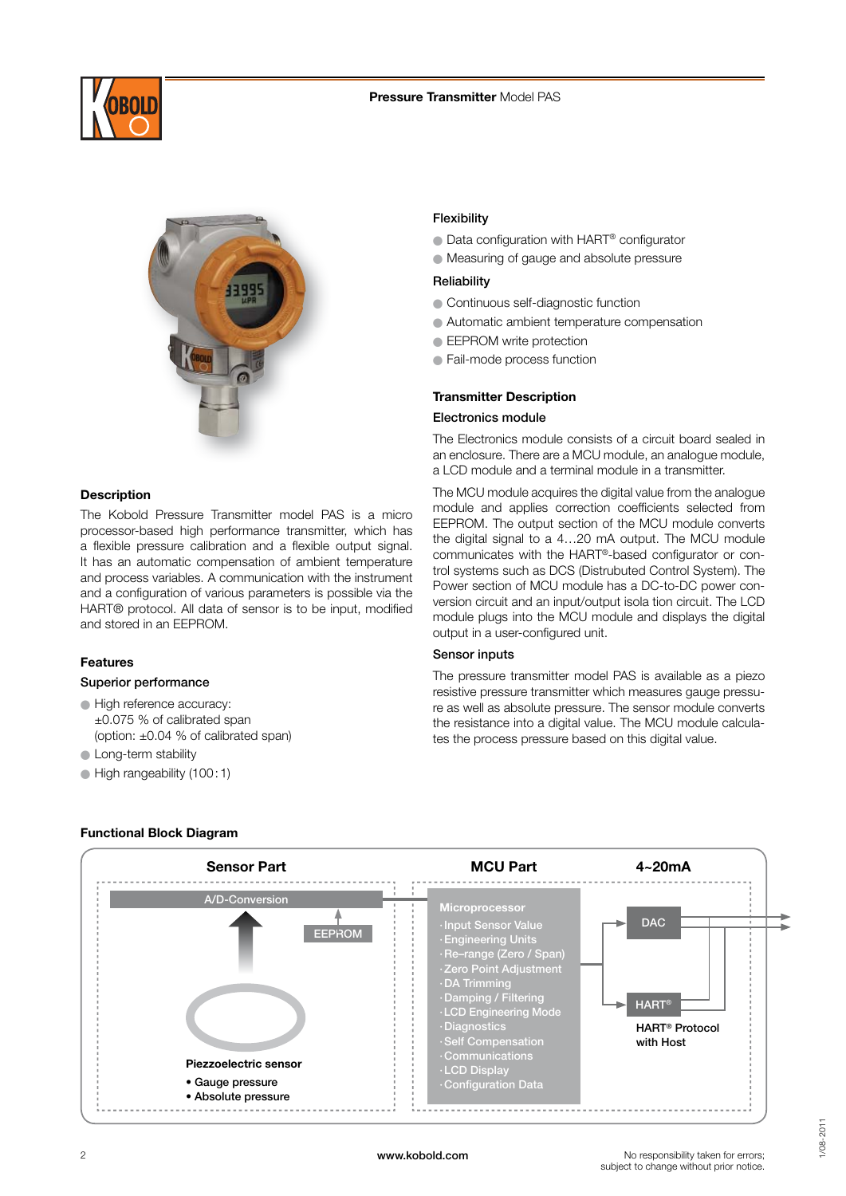



## **Description**

The Kobold Pressure Transmitter model PAS is a micro processor-based high performance transmitter, which has a flexible pressure calibration and a flexible output signal. It has an automatic compensation of ambient temperature and process variables. A communication with the instrument and a configuration of various parameters is possible via the HART® protocol. All data of sensor is to be input, modified and stored in an EEPROM.

## **Features**

#### **Superior performance**

 $\bullet$  High reference accuracy: ±0.075 % of calibrated span (option: ±0.04 % of calibrated span)

## **C** Long-term stability

O High rangeability (100 : 1)

### **Flexibility**

- Data configuration with HART<sup>®</sup> configurator
- O Measuring of gauge and absolute pressure

### **Reliability**

- O Continuous self-diagnostic function
- O Automatic ambient temperature compensation
- **EEPROM** write protection
- O Fail-mode process function

## **Transmitter Description**

## **Electronics module**

The Electronics module consists of a circuit board sealed in an enclosure. There are a MCU module, an analogue module, a LCD module and a terminal module in a transmitter.

The MCU module acquires the digital value from the analogue module and applies correction coefficients selected from EEPROM. The output section of the MCU module converts the digital signal to a 4…20 mA output. The MCU module communicates with the HART®-based configurator or control systems such as DCS (Distrubuted Control System). The Power section of MCU module has a DC-to-DC power conversion circuit and an input/output isola tion circuit. The LCD module plugs into the MCU module and displays the digital output in a user-configured unit.

#### **Sensor inputs**

The pressure transmitter model PAS is available as a piezo resistive pressure transmitter which measures gauge pressure as well as absolute pressure. The sensor module converts the resistance into a digital value. The MCU module calculates the process pressure based on this digital value.





No responsibility taken for errors; subject to change without prior notice.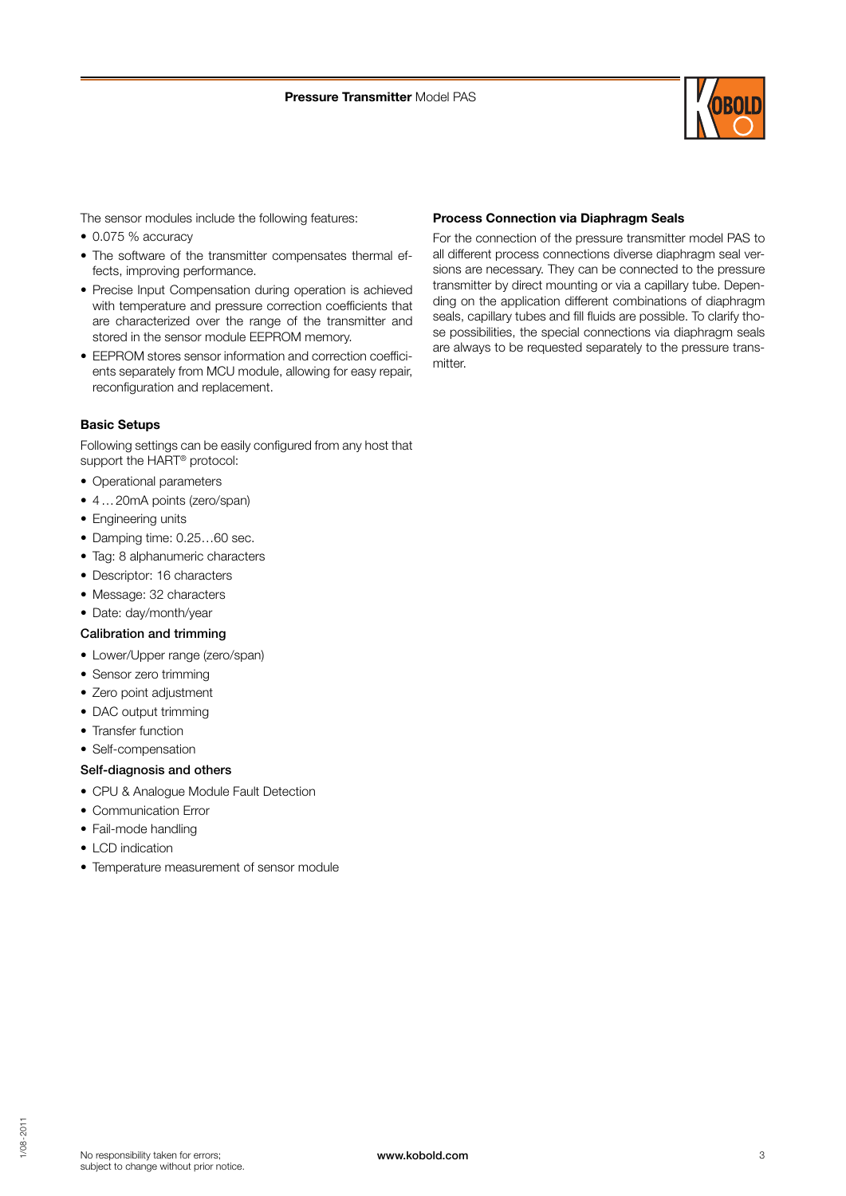

The sensor modules include the following features:

- 0.075 % accuracy
- The software of the transmitter compensates thermal effects, improving performance.
- Precise Input Compensation during operation is achieved with temperature and pressure correction coefficients that are characterized over the range of the transmitter and stored in the sensor module EEPROM memory.
- $\bullet$  FEPROM stores sensor information and correction coefficients separately from MCU module, allowing for easy repair, reconfiguration and replacement.

#### **Basic Setups**

Following settings can be easily configured from any host that support the HART® protocol:

- Operational parameters
- 4 … 20mA points (zero/span)
- Engineering units
- Damping time: 0.25…60 sec.
- Tag: 8 alphanumeric characters
- Descriptor: 16 characters
- Message: 32 characters
- Date: day/month/year

#### **Calibration and trimming**

- Lower/Upper range (zero/span)
- Sensor zero trimming
- Zero point adjustment
- DAC output trimming
- Transfer function
- Self-compensation

### **Self-diagnosis and others**

- CPU & Analogue Module Fault Detection
- Communication Error
- Fail-mode handling
- LCD indication
- Temperature measurement of sensor module

#### **Process Connection via Diaphragm Seals**

For the connection of the pressure transmitter model PAS to all different process connections diverse diaphragm seal versions are necessary. They can be connected to the pressure transmitter by direct mounting or via a capillary tube. Depending on the application different combinations of diaphragm seals, capillary tubes and fill fluids are possible. To clarify those possibilities, the special connections via diaphragm seals are always to be requested separately to the pressure transmitter.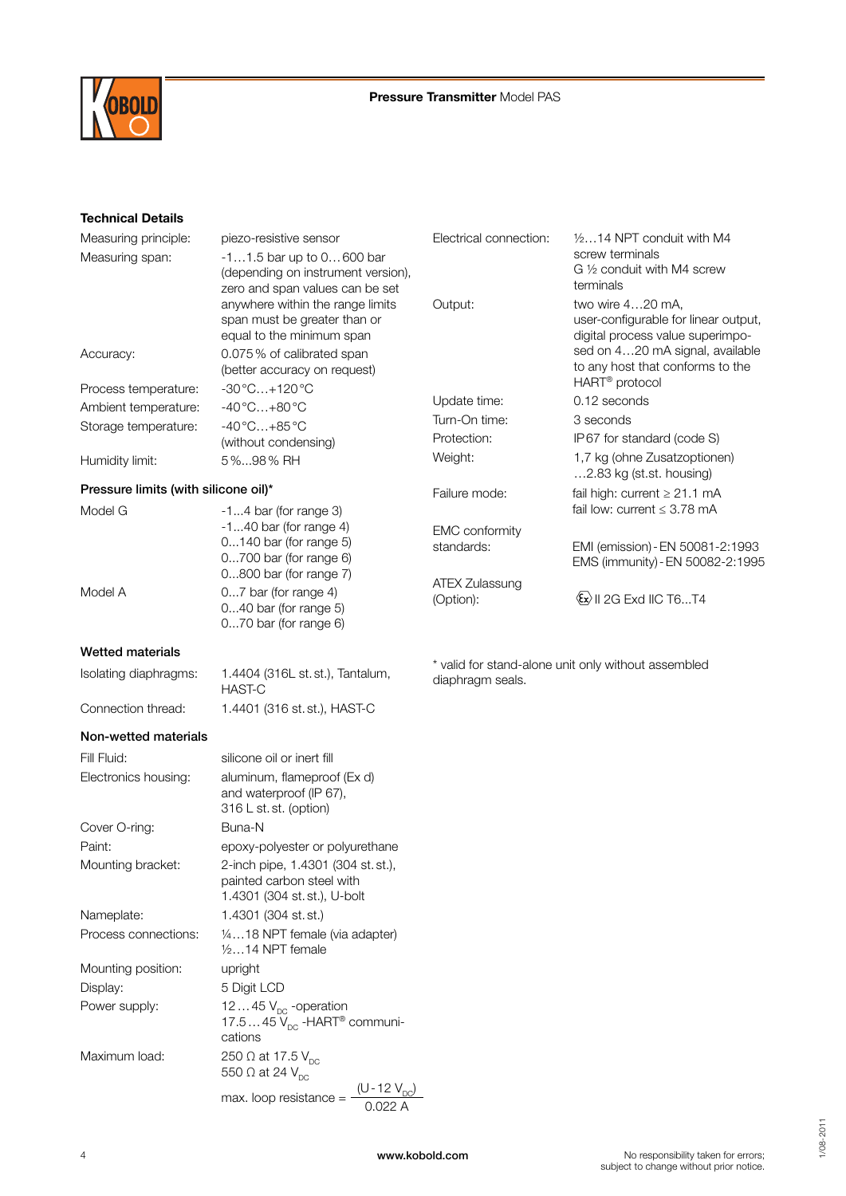

## **Technical Details**

| Measuring principle:                 | piezo-resistive sensor                                                                                     | Electrical connection:              | $1/2$ 14 NPT conduit with M4                                                                      |  |  |
|--------------------------------------|------------------------------------------------------------------------------------------------------------|-------------------------------------|---------------------------------------------------------------------------------------------------|--|--|
| Measuring span:                      | $-11.5$ bar up to $0600$ bar<br>(depending on instrument version),<br>zero and span values can be set      |                                     | screw terminals<br>G 1/2 conduit with M4 screw<br>terminals                                       |  |  |
|                                      | anywhere within the range limits<br>span must be greater than or<br>equal to the minimum span              | Output:                             | two wire 420 mA,<br>user-configurable for linear output,<br>digital process value superimpo-      |  |  |
| Accuracy:                            | 0.075% of calibrated span<br>(better accuracy on request)                                                  |                                     | sed on 420 mA signal, available<br>to any host that conforms to the<br>HART <sup>®</sup> protocol |  |  |
| Process temperature:                 | $-30^{\circ}$ C+120 $^{\circ}$ C                                                                           | Update time:                        | 0.12 seconds                                                                                      |  |  |
| Ambient temperature:                 | $-40^{\circ}$ C $+80^{\circ}$ C                                                                            | Turn-On time:                       | 3 seconds                                                                                         |  |  |
| Storage temperature:                 | $-40^{\circ}$ C +85 $^{\circ}$ C                                                                           | Protection:                         | IP67 for standard (code S)                                                                        |  |  |
|                                      | (without condensing)                                                                                       | Weight:                             | 1,7 kg (ohne Zusatzoptionen)                                                                      |  |  |
| Humidity limit:                      | 5%98% RH                                                                                                   |                                     | 2.83 kg (st.st. housing)                                                                          |  |  |
| Pressure limits (with silicone oil)* |                                                                                                            | Failure mode:                       | fail high: current $\geq 21.1$ mA                                                                 |  |  |
| Model G                              | $-14$ bar (for range 3)                                                                                    |                                     | fail low: current $\leq$ 3.78 mA                                                                  |  |  |
|                                      | $-140$ bar (for range 4)<br>0140 bar (for range 5)<br>$0700$ bar (for range 6)<br>$0800$ bar (for range 7) | <b>EMC</b> conformity<br>standards: | EMI (emission) - EN 50081-2:1993<br>EMS (immunity) - EN 50082-2:1995                              |  |  |
| Model A                              | 07 bar (for range 4)<br>$040$ bar (for range 5)<br>070 bar (for range 6)                                   | <b>ATEX Zulassung</b><br>(Option):  | $\langle x \rangle$    2G Exd   C T6T4                                                            |  |  |
| <b>Wetted materials</b>              |                                                                                                            |                                     |                                                                                                   |  |  |
| Isolating diaphragms:                | 1.4404 (316L st. st.), Tantalum,<br><b>HAST-C</b>                                                          | diaphragm seals.                    | * valid for stand-alone unit only without assembled                                               |  |  |
| Connection thread:                   | 1.4401 (316 st. st.), HAST-C                                                                               |                                     |                                                                                                   |  |  |
| Non-wetted materials                 |                                                                                                            |                                     |                                                                                                   |  |  |
| Fill Fluid:                          | silicone oil or inert fill                                                                                 |                                     |                                                                                                   |  |  |
| Electronics housing:                 | aluminum, flameproof (Ex d)<br>and waterproof (IP 67),<br>316 L st. st. (option)                           |                                     |                                                                                                   |  |  |
| Cover O-ring:                        | Buna-N                                                                                                     |                                     |                                                                                                   |  |  |
| Paint:                               | epoxy-polyester or polyurethane                                                                            |                                     |                                                                                                   |  |  |
| Mounting bracket:                    | 2-inch pipe, 1.4301 (304 st. st.),<br>painted carbon steel with<br>1.4301 (304 st. st.), U-bolt            |                                     |                                                                                                   |  |  |
| Nameplate:                           | 1.4301 (304 st. st.)                                                                                       |                                     |                                                                                                   |  |  |
| Process connections:                 | 1/418 NPT female (via adapter)<br>$1/214$ NPT female                                                       |                                     |                                                                                                   |  |  |
| Mounting position:                   | upright                                                                                                    |                                     |                                                                                                   |  |  |
| Display:                             | 5 Digit LCD                                                                                                |                                     |                                                                                                   |  |  |
| Power supply:                        | 1245 $V_{DC}$ -operation<br>17.5 $45\bar{V}_{\text{DC}}$ -HART <sup>®</sup> communi-<br>cations            |                                     |                                                                                                   |  |  |
| Maximum load:                        | 250 $\Omega$ at 17.5 $V_{\text{nc}}$<br>550 $\Omega$ at 24 $V_{\text{DC}}$                                 |                                     |                                                                                                   |  |  |
|                                      | $(U - 12 V_{DC})$<br>max. loop resistance =<br>0.022A                                                      |                                     |                                                                                                   |  |  |

No responsibility taken for errors; subject to change without prior notice.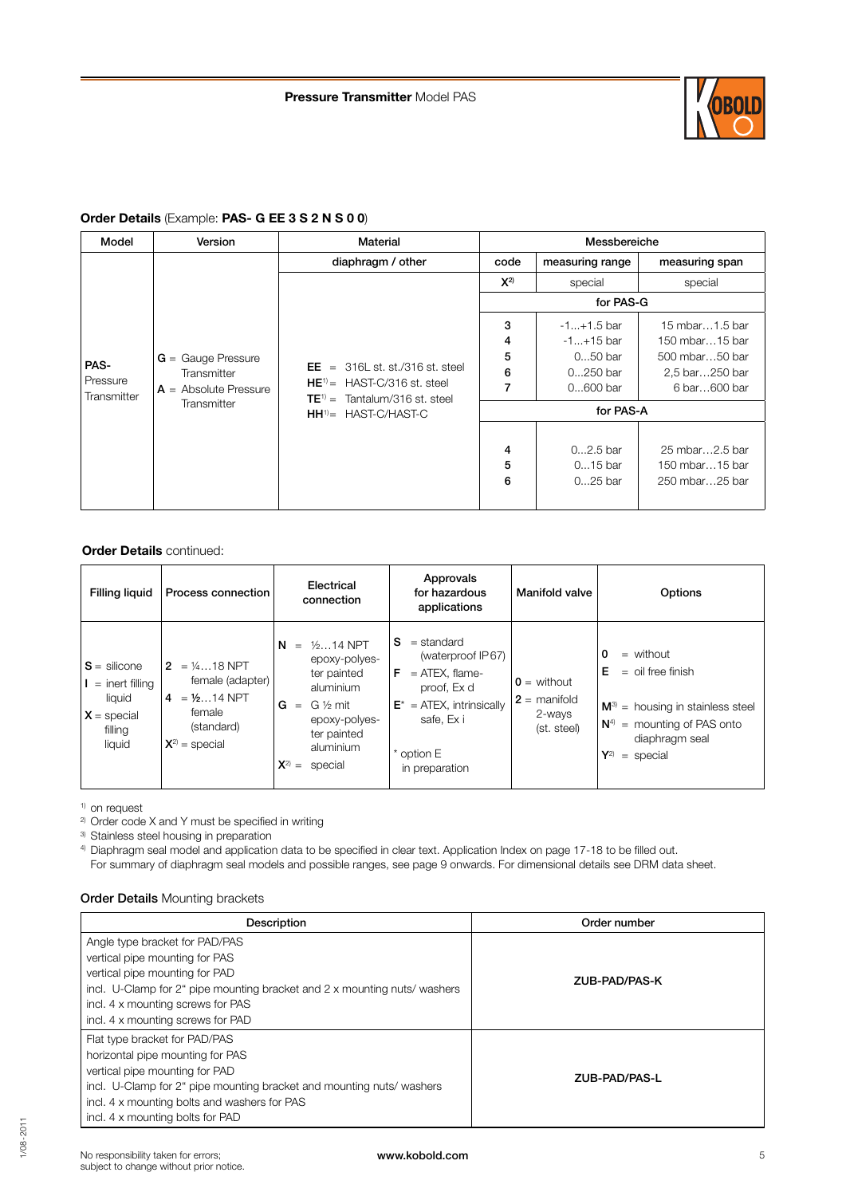

## **Order Details** (Example: **PAS- G EE 3 S 2 N S 0 0**)

| Model                           | Version                                                                       | Material                                                                                                            | Messbereiche          |                                                                      |                                                                                      |  |
|---------------------------------|-------------------------------------------------------------------------------|---------------------------------------------------------------------------------------------------------------------|-----------------------|----------------------------------------------------------------------|--------------------------------------------------------------------------------------|--|
|                                 |                                                                               | diaphragm / other                                                                                                   | code                  | measuring range                                                      | measuring span                                                                       |  |
|                                 |                                                                               |                                                                                                                     | $X^{2)}$              | special                                                              | special                                                                              |  |
|                                 |                                                                               |                                                                                                                     |                       | for PAS-G                                                            |                                                                                      |  |
| PAS-<br>Pressure<br>Transmitter | $G =$ Gauge Pressure<br>Transmitter<br>$A =$ Absolute Pressure<br>Transmitter | $EE = 316L$ st. st./316 st. steel<br>$HE^{\dagger}$ = HAST-C/316 st. steel<br>Tantalum/316 st. steel<br>$TE^{1)} =$ | 3<br>4<br>5<br>6<br>7 | $-1+1.5$ bar<br>$-1+15$ bar<br>$050$ bar<br>$0250$ bar<br>$0600$ bar | 15 mbar1.5 bar<br>150 mbar15 bar<br>500 mbar50 bar<br>2,5 bar250 bar<br>6 bar600 bar |  |
|                                 |                                                                               | $HH^{\dagger}$ HAST-C/HAST-C                                                                                        |                       | for PAS-A                                                            |                                                                                      |  |
|                                 |                                                                               |                                                                                                                     | 4<br>5<br>6           | $02.5$ bar<br>$015$ bar<br>$025$ bar                                 | 25 mbar2.5 bar<br>150 mbar15 bar<br>250 mbar25 bar                                   |  |

## **Order Details** continued:

| <b>Filling liquid</b>                                                                 | Process connection                                                                                 | Electrical<br>connection                                                                                                                                          | Approvals<br>for hazardous<br>applications                                                                                                                   | Manifold valve                                                    | Options                                                                                                                                                        |
|---------------------------------------------------------------------------------------|----------------------------------------------------------------------------------------------------|-------------------------------------------------------------------------------------------------------------------------------------------------------------------|--------------------------------------------------------------------------------------------------------------------------------------------------------------|-------------------------------------------------------------------|----------------------------------------------------------------------------------------------------------------------------------------------------------------|
| $S =$ silicone<br>$I =$ inert filling<br>liquid<br>$X =$ special<br>filling<br>liquid | $2 = 1418$ NPT<br>female (adapter)<br>$4 = 1/214$ NPT<br>female<br>(standard)<br>$X^{2}$ = special | $1/214$ NPT<br>N<br>$=$<br>epoxy-polyes-<br>ter painted<br>aluminium<br>G ½ mit<br>G<br>$=$<br>epoxy-polyes-<br>ter painted<br>aluminium<br>$X^{2)} =$<br>special | $=$ standard<br>S.<br>(waterproof IP67)<br>F<br>$=$ ATEX, flame-<br>proof, Ex d<br>$E^*$ = ATEX, intrinsically<br>safe, Ex i<br>* option E<br>in preparation | $\mathbf{0}$ = without<br>$2 =$ manifold<br>2-ways<br>(st. steel) | 0<br>$=$ without<br>$=$ oil free finish<br>Е<br>$M^3$ = housing in stainless steel<br>$N4$ = mounting of PAS onto<br>diaphragm seal<br>$Y^{2)}$<br>$=$ special |

<sup>1)</sup> on request

 $2)$  Order code X and Y must be specified in writing

3) Stainless steel housing in preparation

<sup>4)</sup> Diaphragm seal model and application data to be specified in clear text. Application Index on page 17-18 to be filled out. For summary of diaphragm seal models and possible ranges, see page 9 onwards. For dimensional details see DRM data sheet.

#### **Order Details** Mounting brackets

| Description                                                               | Order number  |  |  |
|---------------------------------------------------------------------------|---------------|--|--|
| Angle type bracket for PAD/PAS                                            |               |  |  |
| vertical pipe mounting for PAS                                            |               |  |  |
| vertical pipe mounting for PAD                                            |               |  |  |
| incl. U-Clamp for 2" pipe mounting bracket and 2 x mounting nuts/ washers | ZUB-PAD/PAS-K |  |  |
| incl. 4 x mounting screws for PAS                                         |               |  |  |
| incl. 4 x mounting screws for PAD                                         |               |  |  |
| Flat type bracket for PAD/PAS                                             |               |  |  |
| horizontal pipe mounting for PAS                                          |               |  |  |
| vertical pipe mounting for PAD                                            | ZUB-PAD/PAS-L |  |  |
| incl. U-Clamp for 2" pipe mounting bracket and mounting nuts/ washers     |               |  |  |
| incl. 4 x mounting bolts and washers for PAS                              |               |  |  |
| incl. 4 x mounting bolts for PAD                                          |               |  |  |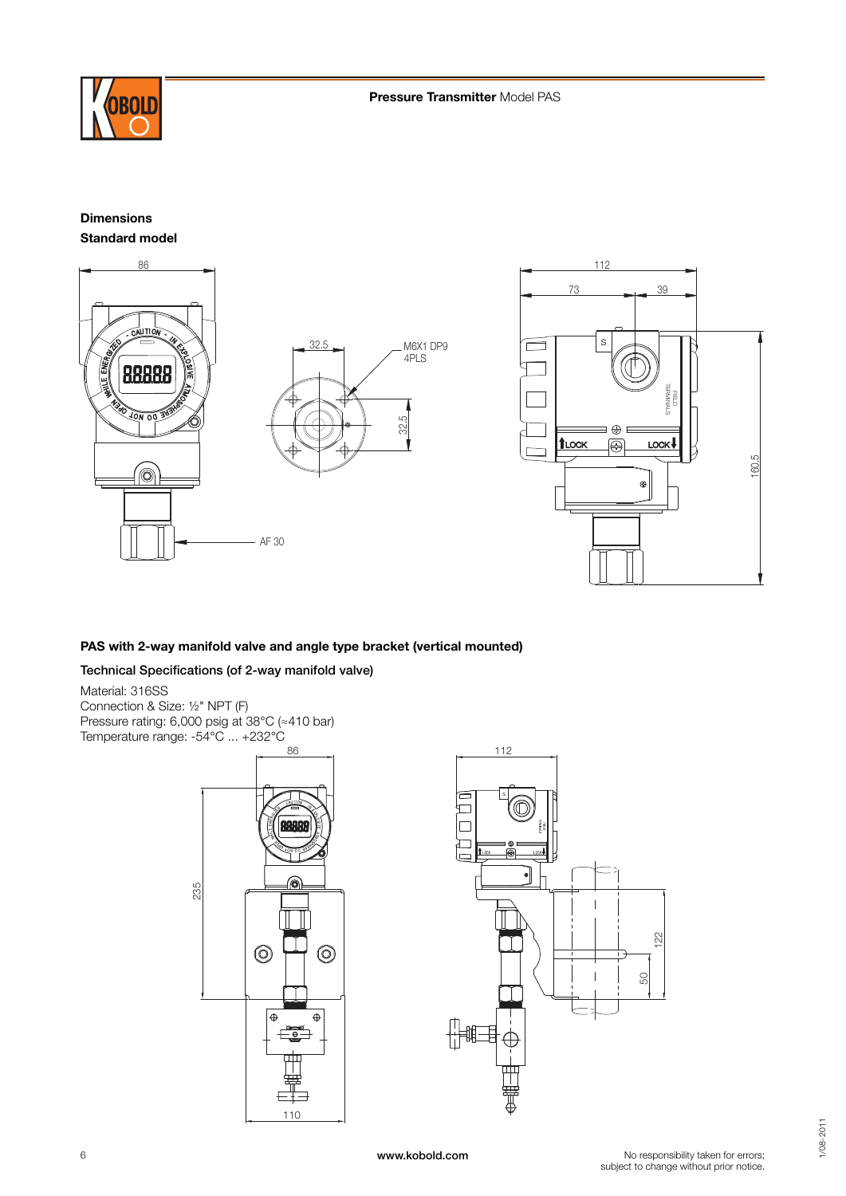

R NE I G

 $\overline{\phantom{a}}$ 

## **Dimensions Standard model**





## **PAS with 2-way manifold valve and angle type bracket (vertical mounted)**

## **Technical Specifications (of 2-way manifold valve)**

Material: 316SS Connection & Size: ½" NPT (F) Pressure rating: 6,000 psig at 38°C (≈410 bar) Temperature range: -54°C ... +232°C



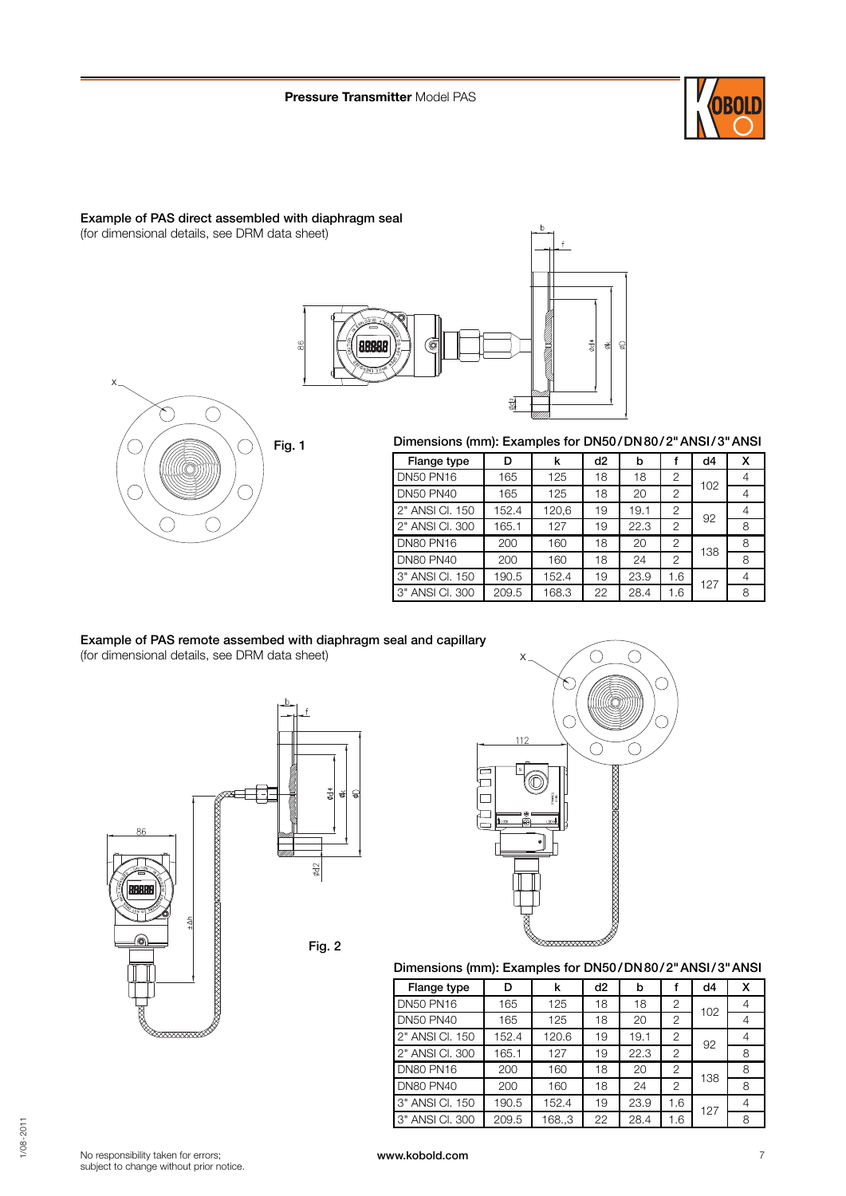

## **Example of PAS direct assembled with diaphragm seal**  (for dimensional details, see DRM data sheet)





## **Dimensions (mm): Examples for DN50 / DN 80 / 2" ANSI / 3" ANSI**

| Flange type      | D     | k     | d2 | b    |                | d4  | x |
|------------------|-------|-------|----|------|----------------|-----|---|
| <b>DN50 PN16</b> | 165   | 125   | 18 | 18   | 2              | 102 |   |
| <b>DN50 PN40</b> | 165   | 125   | 18 | 20   | $\overline{2}$ |     |   |
| 2" ANSI Cl. 150  | 152.4 | 120,6 | 19 | 19.1 | 2              | 92  |   |
| 2" ANSI CI, 300  | 165.1 | 127   | 19 | 22.3 | $\overline{2}$ |     | 8 |
| <b>DN80 PN16</b> | 200   | 160   | 18 | 20   | $\overline{2}$ | 138 | 8 |
| <b>DN80 PN40</b> | 200   | 160   | 18 | 24   | 2              |     | 8 |
| 3" ANSI CI, 150  | 190.5 | 152.4 | 19 | 23.9 | 1.6            | 127 |   |
| 3" ANSI CI, 300  | 209.5 | 168.3 | 22 | 28.4 | 1.6            |     | 8 |

## **Example of PAS remote assembed with diaphragm seal and capillary** (for dimensional details, see DRM data sheet)





# **Dimensions (mm): Examples for DN50 / DN 80 / 2" ANSI / 3" ANSI**

| Flange type      | D     | k     | d <sub>2</sub> | b    |                | d4  | x |
|------------------|-------|-------|----------------|------|----------------|-----|---|
| <b>DN50 PN16</b> | 165   | 125   | 18             | 18   | 2              | 102 |   |
| <b>DN50 PN40</b> | 165   | 125   | 18             | 20   | 2              |     |   |
| 2" ANSI CI, 150  | 152.4 | 120.6 | 19             | 19.1 | 2              | 92  |   |
| 2" ANSI Cl. 300  | 165.1 | 127   | 19             | 22.3 | $\overline{2}$ |     | 8 |
| <b>DN80 PN16</b> | 200   | 160   | 18             | 20   | 2              | 138 | 8 |
| <b>DN80 PN40</b> | 200   | 160   | 18             | 24   | 2              |     | 8 |
| 3" ANSI CI, 150  | 190.5 | 152.4 | 19             | 23.9 | 1.6            | 127 |   |
| 3" ANSI CI, 300  | 209.5 | 168.3 | 22             | 28.4 | 1.6            |     | 8 |